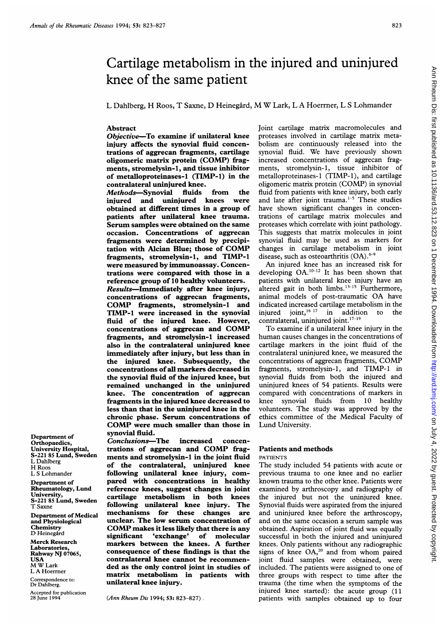# Ann Rheum Dis: first published as 10.1136/ard.53.12.823 on 1 December 1994. Downloaded from http://ard.bmj.com/ on July 4, 2022 by guest. Protected by copyright Ann Rheum Dis: first published as 10.1136/ard.53.12.823 on 1 December 1994. Downloaded from Dismin.com/ on July 4, 2022 by guest. Protected by copyright.

# Cartilage metabolism in the injured and uninjured knee of the same patient

L Dahlberg, H Roos, T Saxne, D Heinegård, M W Lark, L A Hoerrner, L S Lohmander

# Abstract

Objective-To examine if unilateral knee injury affects the synovial fluid concentrations of aggrecan fragments, cartilage oligomeric matrix protein (COMP) fragments, stromelysin-l, and tissue inhibitor of metalloproteinases-l (TIMP-1) in the contralateral uninjured knee.

Methods-Synovial fluids from the injured and uninjured knees were obtained at different times in a group of patients after unilateral knee trauma. Serum samples were obtained on the same occasion. Concentrations of aggrecan fragments were determined by precipitation with Alcian Blue; those of COMP fragments, stromelysin-l, and TIMP-1 were measured by immunoassay. Concentrations were compared with those in a reference group of 10 healthy volunteers. Results-Immediately after knee injury, concentrations of aggrecan fragments, COMP fragments, stromelysin-l and TIMP-1 were increased in the synovial fluid of the injured knee. However, concentrations of aggrecan and COMP fragments, and stromelysin-l increased also in the contralateral uninjured knee immediately after injury, but less than in the injured knee. Subsequently, the concentrations ofall markers decreased in the synovial fluid of the injured knee, but remained unchanged in the uninjured knee. The concentration of aggrecan fragments in the injured knee decreased to less than that in the uninjured knee in the chronic phase. Serum concentrations of COMP were much smaller than those in synovial fluid.

Conclusions-The increased concentrations of aggrecan and COMP fragments and stromelysin-1 in the joint fluid of the contralateral, uninjured knee following unilateral knee injury, compared with concentrations in healthy reference knees, suggest changes in joint cartilage metabolism in both knees following unilateral knee injury. The mechanisms for these changes are unclear. The low serum concentration of COMP makes it less likely that there is any<br>significant 'exchange' of molecular significant 'exchange' markers between the knees. A further consequence of these findings is that the contralateral knee cannot be recommended as the only control joint in studies of matrix metabolism in patients with unilateral knee injury.

(Ann Rheum Dis 1994; 53: 823-827).

Joint cartilage matrix macromolecules and proteases involved in cartilage matrix metabolism are continuously released into the synovial fluid. We have previously shown increased concentrations of aggrecan fragments, stromelysin-1, tissue inhibitor of metalloproteinases-1 (TIMP-1), and cartilage oligomeric matrix protein (COMP) in synovial fluid from patients with knee injury, both early and late after joint trauma.<sup>1-5</sup> These studies have shown significant changes in concentrations of cartilage matrix molecules and proteases which correlate with joint pathology. This suggests that matrix molecules in joint synovial fluid may be used as markers for changes in cartilage metabolism in joint disease, such as osteoarthritis  $(OA)$ .<sup>6-</sup>

An injured knee has an increased risk for developing  $OA.<sup>10-12</sup>$  It has been shown that patients with unilateral knee injury have an altered gait in both limbs. $13-15$  Furthermore, animal models of post-traumatic OA have indicated increased cartilage metabolism in the injured joint,  $16 \times 17$  in addition to the contralateral, uninjured joint.<sup>17-19</sup>

To examine if <sup>a</sup> unilateral knee injury in the human causes changes in the concentrations of cartilage markers in the joint fluid of the contralateral uninjured knee, we measured the concentrations of aggrecan fragments, COMP fragments, stromelysin-1, and TIMP-1 in synovial fluids from both the injured and uninjured knees of 54 patients. Results were compared with concentrations of markers in knee synovial fluids from 10 healthy volunteers. The study was approved by the ethics committee of the Medical Faculty of Lund University.

## Patients and methods

### PATIENTS

The study included 54 patients with acute or previous trauma to one knee and no earlier known trauma to the other knee. Patients were examined by arthroscopy and radiography of the injured but not the uninjured knee. Synovial fluids were aspirated from the injured and uninjured knee before the arthroscopy, and on the same occasion a serum sample was obtained. Aspiration of joint fluid was equally successful in both the injured and uninjured knees. Only patients without any radiographic signs of knee  $OA<sub>20</sub>$  and from whom paired joint fluid samples were obtained, were included. The patients were assigned to one of three groups with respect to time after the trauma (the time when the symptoms of the injured knee started): the acute group (11 patients with samples obtained up to four

Department of Orthopaedics, University Hospital, S-221 85 Lund, Sweden L Dahlberg H Roos L S Lohmander

Department of Rheumatology, Lund University, S-221 85 Lund, Sweden T Saxne

Department of Medical and Physiological **Chemistry** D Heinegård

Merck Research **Laboratories** Rahway NJ 07065, USA MW Lark L A Hoerrner Correspondence to:

Dr Dahlberg.

Accepted for publication 28 June 1994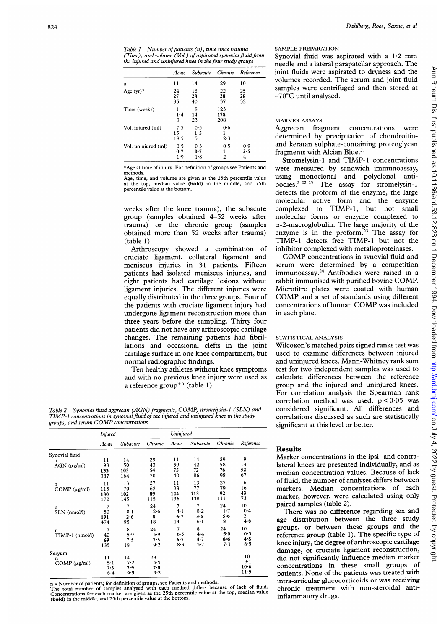Table  $1$  Number of patients  $(n)$ , time since trauma (Time), and volume (Vol.) of aspirated synovial fluid from<br>the injured and uninjured knee in the four study groups

|                     | Acute             | Subacute          | Chronic           | Reference       |  |
|---------------------|-------------------|-------------------|-------------------|-----------------|--|
| n                   | 11                | 14                | 29                | 10              |  |
| Age $(yr)^*$        | 24<br>27<br>35    | 18<br>28<br>40    | 22<br>28<br>37    | 25<br>28<br>32  |  |
| Time (weeks)        | $1 - 4$<br>3      | 8<br>14<br>23     | 123<br>178<br>208 |                 |  |
| Vol. injured (ml)   | 7.5<br>15<br>18.5 | 0.5<br>1.5<br>5   | 0.6<br>1<br>2.3   |                 |  |
| Vol. uninjured (ml) | 0.5<br>0.7<br>1·9 | 0.3<br>0.7<br>1.8 | 0.5<br>1<br>2     | 0.9<br>2.5<br>4 |  |

\*Age at time of injury. For definition of groups see Patients and

methods.<br>Age, time, and volume are given as the 25th percentile value<br>at the top, median value (**bold**) in the middle, and 75th<br>percentile value at the bottom.

weeks after the knee trauma), the subacute group (samples obtained 4-52 weeks after trauma) or the chronic group (samples obtained more than 52 weeks after trauma) (table 1).

Arthroscopy showed a combination of cruciate ligament, collateral ligament and meniscus injuries in 31 patients. Fifteen patients had isolated meniscus injuries, and eight patients had cartilage lesions without ligament injuries. The different injuries were equally distributed in the three groups. Four of the patients with cruciate ligament injury had undergone ligament reconstruction more than three years before the sampling. Thirty four patients did not have any arthroscopic cartilage changes. The remaining patients had fibrillations and occasional clefts in the joint cartilage surface in one knee compartment, but normal radiographic findings.

Ten healthy athletes without knee symptoms and with no previous knee injury were used as a reference group<sup>3-5</sup> (table 1).

Table 2 Synovial fluid aggrecan (AGN) fragments, COMP, stromelysin-1 (SLN) and TIMP-1 concentrations in synovialfluid of the injured and uninjured knee in the study groups, and serum COMP concentrations

|                      | <b>Injured</b> |          |         | Uninjured |          |         |              |
|----------------------|----------------|----------|---------|-----------|----------|---------|--------------|
|                      | Acute          | Subacute | Chronic | Acute     | Subacute | Chronic | Reference    |
| Synovial fluid       |                |          |         |           |          |         |              |
| n                    | 11             | 14       | 29      | 11        | 14       | 29      | 9            |
| $AGN$ ( $\mu$ g/ml)  | 98             | 50       | 43      | 59        | 42       | 58      | 14           |
|                      | 133            | 103      | 54      | 75        | 72       | 76      | 52           |
|                      | 387            | 164      | 70      | 140       | 86       | 98      | 67           |
| n                    | 11             | 13       | 27      | 11        | 13       | 27      | 6            |
| $COMP (\mu g/ml)$    | 115            | 70       | 62      | 93        | 77       | 79      | 16           |
|                      | 130            | 102      | 89      | 124       | 113      | 92      | 43           |
|                      | 172            | 145      | 115     | 136       | 138      | 111     | 73           |
| n<br>SLN (nmol/l)    | $\overline{7}$ | 7        | 24      | 7         | 7        | 24      | 10           |
|                      | 50             | 0.1      | 2.6     | 4.1       | 0.2      | $1-7$   | 0.4          |
|                      | 191            | 2.6      | 8       | $6 - 7$   | 3.5      | 5.6     | $\mathbf{z}$ |
|                      | 474            | 95       | 18      | 14        | $6-1$    | 8       | 4.8          |
| n<br>TIMP-1 (nmol/l) | 7              | 8        | 24      | 7         | 8        | 24      | 10           |
|                      | 42             | 5.9      | 5.9     | 6.5       | 4.4      | 5.9     | 0.5          |
|                      | 69             | 7.5      | 7.5     | $6 - 7$   | 4.7      | 6.6     | $4 - 8$      |
|                      | 135            | 18       | 9.2     | 8.3       | 5.7      | 7.3     | 8.5          |
| Seryum               |                |          |         |           |          |         |              |
| n                    | 11             | 14       | 29      |           |          |         | 10           |
| COMP (µg/ml)         | $5-1$          | 7.2      | 6.5     |           |          |         | $9-1$        |
|                      | $7 - 3$        | 7.9      | 7.8     |           |          |         | $10 - 6$     |
|                      | $8-4$          | 9.5      | $9-2$   |           |          |         | 11.5         |

n = Number of patients; for definition of groups, see Patients and methods.

The total number of samples analysed with each method differs because of lack of fluid. Concentrations for each marker are given as the 25th percentile value at the top, median value (bold) in the middle, and 75th percentile value at the bottom.

### SAMPLE PREPARATION

Synovial fluid was aspirated with <sup>a</sup> 1-2 mm needle and <sup>a</sup> lateral parapatellar approach. The joint fluids were aspirated to dryness and the volumes recorded. The serum and joint fluid samples were centrifuged and then stored at -70°C until analysed.

# MARKER ASSAYS

Aggrecan fragment concentrations were determined by precipitation of chondroitinand keratan sulphate-containing proteoglycan fragments with Alcian Blue.<sup>21</sup>

Stromelysin-1 and TIMP-1 concentrations were measured by sandwich immunoassay, using monoclonal and polyclonal antibodies.2 <sup>22</sup> <sup>23</sup> The assay for stromelysin-1 detects the proform of the enzyme, the large molecular active form and the enzyme complexed to TIMP-1, but not small molecular forms or enzyme complexed to  $\alpha$ -2-macroglobulin. The large majority of the enzyme is in the proform. $23$  The assay for TIMP-1 detects free TIMP-1 but not the inhibitor complexed with metalloproteinases.

COMP concentrations in synovial fluid and serum were determined by a competition immunoassay.24 Antibodies were raised in a rabbit immunised with purified bovine COMP. Microtitre plates were coated with human COMP and <sup>a</sup> set of standards using different concentrations of human COMP was included in each plate.

### STATISTICAL ANALYSIS

Wilcoxon's matched pairs signed ranks test was used to examine differences between injured and uninjured knees. Mann-Whitney rank sum test for two independent samples was used to calculate differences between the reference group and the injured and uninjured knees. For correlation analysis the Spearman rank correlation method was used.  $p < 0.05$  was considered significant. All differences and correlations discussed as such are statistically significant at this level or better.

### Results

Marker concentrations in the ipsi- and contralateral knees are presented individually, and as median concentration values. Because of lack of fluid, the number of analyses differs between markers. Median concentrations of each marker, however, were calculated using only paired samples (table 2).

There was no difference regarding sex and age distribution between the three study groups, or between these groups and the reference group (table 1). The specific type of knee injury, the degree of arthroscopic cartilage damage, or cruciate ligament reconstruction, did not significantly influence median marker concentrations in these small groups of patients. None of the patients was treated with intra-articular glucocorticoids or was receiving chronic treatment with non-steroidal antiinflammatory drugs.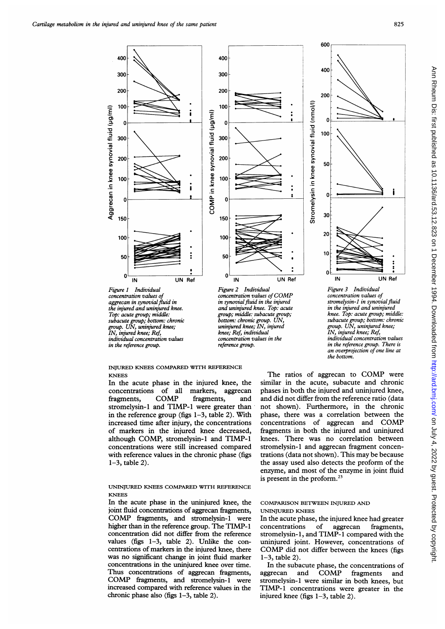**400** 

300

100

300

100

50

 $\Omega$ 

IN

 $\cdot$ 

150

 $\mathbf{0}$ 

100

<u>َ وَ</u> C 200  $\degree$  In

0)

**M**<br>
and a set of the set of the set of the set of the set of the set of the set of the set of the set of the set<br>
and the set of the set of the set of the set of the set of the set of the set of the set of the set of the



d (nmo

600

 $\sigma$ 

0 C .\_ ã

> <u>ء</u> ē

 $\cdot$  .

E 0 (I)

Figure 1 Individual concentration values of aggrecan in synovial fluid in the injured and uninjured knee. Top: acute group; middle: subacute group; bottom: chronic group. UN, uninjured knee; IN, injured knee; Ref, individual concentration values in the reference group.

 $UN$  Ref

خ<br>ق

1

100

 $\Omega$ 

300

200

100

 $\mathbf{0}$ 

150

100

 $5<sup>0</sup>$ 

 $\mathbf{0}$ 

**IN** 

400

300

 $\overline{\mathbf{e}}$  . Ē W Cu

.\_ 0 0- 0

8

Figure 2 Individual concentration values of COMP in synovial fluid in the injured and uninjured knee. Top: acute group; middle: subacute group; bottom: chronic group. UI uninjured knee; IN, injured knee; Ref, individual concentration values in the reference group.

UN Ref

Figure 3 Individual concentration values of stromelysin-1 in synovial fluid in the injured and uninjured knee. Top: acute group; middle: subacute group; bottom: chronic group. UN, uninjured knee; IN, injured knee; Ref, individual concentration values in the reference group. There is an overprojection of one line at the bottom.

# INJURED KNEES COMPARED WITH REFERENCE KNEES

In the acute phase in the injured knee, the concentrations of all markers, aggrecan fragments, COMP fragments, and stromelysin-1 and TIMP-1 were greater than in the reference group (figs 1-3, table 2). With increased time after injury, the concentrations of markers in the injured knee decreased, although COMP, stromelysin-1 and TIMP-1 concentrations were still increased compared with reference values in the chronic phase (figs 1-3, table 2).

# UNINJURED KNEES COMPARED WITH REFERENCE KNEES

In the acute phase in the uninjured knee, the joint fluid concentrations of aggrecan fragments, COMP fragments, and stromelysin-I were higher than in the reference group. The TIMP-l concentration did not differ from the reference values (figs 1-3, table 2). Unlike the concentrations of markers in the injured knee, there was no significant change in joint fluid marker concentrations in the uninjured knee over time. Thus concentrations of aggrecan fragments, COMP fragments, and stromelysin-I were increased compared with reference values in the chronic phase also (figs 1-3, table 2).

The ratios of aggrecan to COMP were similar in the acute, subacute and chronic phases in both the injured and uninjured knee, and did not differ from the reference ratio (data not shown). Furthermore, in the chronic phase, there was a correlation between the concentrations of aggrecan and COMP fragments in both the injured and uninjured knees. There was no correlation between stromelysin-1 and aggrecan fragment concentrations (data not shown). This may be because the assay used also detects the proform of the enzyme, and most of the enzyme in joint fluid is present in the proform.<sup>23</sup>

# COMPARISON BETWEEN INJURED AND UNINJURED KNEES

In the acute phase, the injured knee had greater concentrations of aggrecan fragments, stromelysin-1, and TIMP-1 compared with the uninjured joint. However, concentrations of COMP did not differ between the knees (figs 1-3, table 2).

In the subacute phase, the concentrations of aggrecan and COMP fragments and stromelysin-1 were similar in both knees, but TIMP-1 concentrations were greater in the injured knee (figs 1-3, table 2).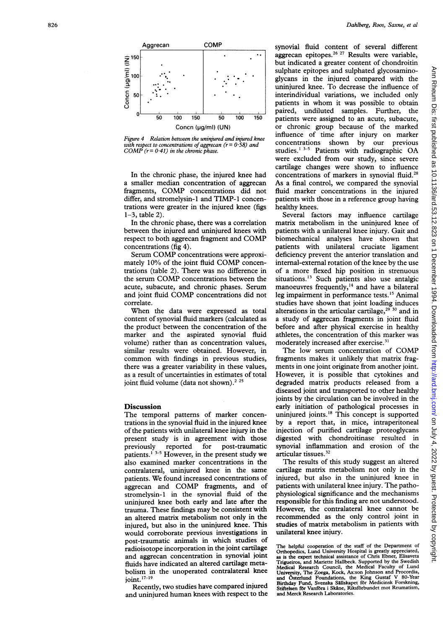

Figure 4 Relation between the uninjured and injured knee with respect to concentrations of aggrecan ( $r = 0.58$ ) and COMP  $(r = 0.41)$  in the chronic phase.

In the chronic phase, the injured knee had a smaller median concentration of aggrecan fragments, COMP concentrations did not differ, and stromelysin-1 and TIMP-1 concentrations were greater in the injured knee (figs  $1-3$ , table 2).

In the chronic phase, there was a correlation between the injured and uninjured knees with respect to both aggrecan fragment and COMP concentrations (fig 4).

Serum COMP concentrations were approximately 10% of the joint fluid COMP concentrations (table 2). There was no difference in the serum COMP concentrations between the acute, subacute, and chronic phases. Serum and joint fluid COMP concentrations did not correlate.

When the data were expressed as total content of synovial fluid markers (calculated as the product between the concentration of the marker and the aspirated synovial fluid volume) rather than as concentration values, similar results were obtained. However, in common with findings in previous studies, there was a greater variability in these values, as a result of uncertainties in estimates of total joint fluid volume (data not shown).<sup>2 25</sup>

# **Discussion**

The temporal patterns of marker concentrations in the synovial fluid in the injured knee of the patients with unilateral knee injury in the present study is in agreement with those previously reported for post-traumatic patients.<sup> $1^{3-5}$ </sup> However, in the present study we also examined marker concentrations in the contralateral, uninjured knee in the same patients. We found increased concentrations of aggrecan and COMP fragments, and of stromelysin-1 in the synovial fluid of the uninjured knee both early and late after the trauma. These findings may be consistent with an altered matrix metabolism not only in the injured, but also in the uninjured knee. This would corroborate previous investigations in post-traumatic animals in which studies of radioisotope incorporation in the joint cartilage and aggrecan concentration in synovial joint fluids have indicated an altered cartilage metabolism in the unoperated contralateral knee ioint.  $17-19$ 

Recently, two studies have compared injured and uninjured human knees with respect to the synovial fluid content of several different aggrecan epitopes.26 <sup>27</sup> Results were variable, but indicated a greater content of chondroitin sulphate epitopes and sulphated glycosaminoglycans in the injured compared with the uninjured knee. To decrease the influence of interindividual variations, we included only patients in whom it was possible to obtain paired, undiluted samples. Further, the patients were assigned to an acute, subacute, or chronic group because of the marked influence of time after injury on marker concentrations shown by our previous studies.<sup>13-5</sup> Patients with radiographic OA were excluded from our study, since severe cartilage changes were shown to influence concentrations of markers in synovial fluid.<sup>28</sup> As a final control, we compared the synovial fluid marker concentrations in the injured patients with those in a reference group having healthy knees.

Several factors may influence cartilage matrix metabolism in the uninjured knee of patients with a unilateral knee injury. Gait and biomechanical analyses have shown that patients with unilateral cruciate ligament deficiency prevent the anterior translation and internal-external rotation of the knee by the use of a more flexed hip position in strenuous situations.<sup>13</sup> Such patients also use antalgic manoeuvres frequently,<sup>14</sup> and have a bilateral leg impairment in performance tests.'5 Animal studies have shown that joint loading induces alterations in the articular cartilage, $29\overline{30}$  and in a study of aggrecan fragments in joint fluid before and after physical exercise in healthy athletes, the concentration of this marker was moderately increased after exercise.<sup>31</sup>

The low serum concentration of COMP fragments makes it unlikely that matrix fragments in one joint originate from another joint. However, it is possible that cytokines and degraded matrix products released from a diseased joint and transported to other healthy joints by the circulation can be involved in the early initiation of pathological processes in uninjured joints.'8 This concept is supported by a report that, in mice, intraperitoneal injection of purified cartilage proteoglycans digested with chondroitinase resulted in synovial inflammation and erosion of the articular tissues.<sup>32</sup>

The results of this study suggest an altered cartilage matrix metabolism not only in the injured, but also in the uninjured knee in patients with unilateral knee injury. The pathophysiological significance and the mechanisms responsible for this finding are not understood. However, the contralateral knee cannot be recommended as the only control joint in studies of matrix metabolism in patients with unilateral knee injury.

The helpful cooperation of the staff of the Department of Orthopedics, Lund University Hospital is greatly appreciated, as is the expert technical assistance of Chris Ebner, Elisaveta Trigueiros, and Mariette Hallbeck. Supported by the Swedish<br>Medical Research Council, the Medical Faculty of Lund<br>University, The Zoega, Kock, Ax:son Johnson and Pocordia,<br>and Österlund Foundations, the King Gustaf V 80-Ye and Merck Research Laboratories.